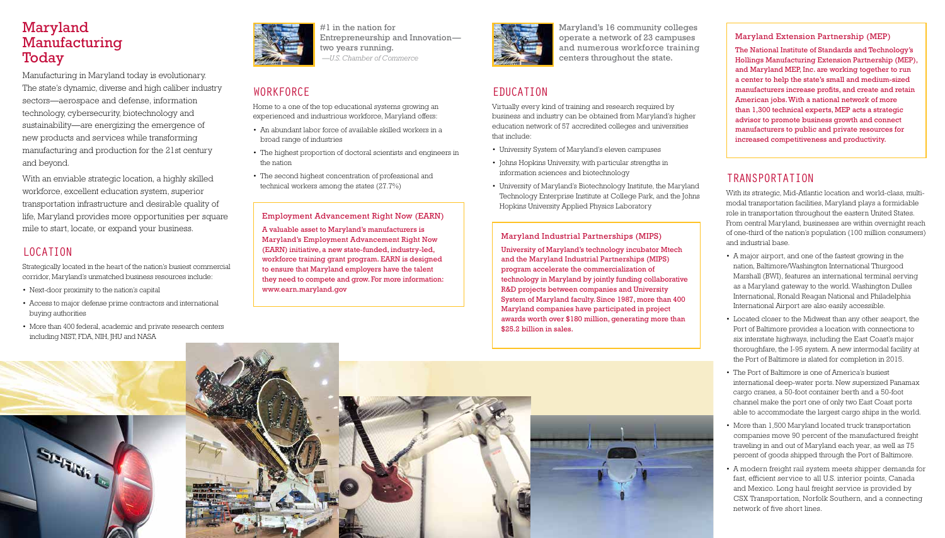## Maryland Manufacturing **Today**

Manufacturing in Maryland today is evolutionary. The state's dynamic, diverse and high caliber industry sectors—aerospace and defense, information technology, cybersecurity, biotechnology and sustainability—are energizing the emergence of new products and services while transforming manufacturing and production for the 21st century and beyond.

With an enviable strategic location, a highly skilled workforce, excellent education system, superior transportation infrastructure and desirable quality of life, Maryland provides more opportunities per square mile to start, locate, or expand your business.

#### LOCATION

Strategically located in the heart of the nation's busiest commercial corridor, Maryland's unmatched business resources include:

- Next-door proximity to the nation's capital
- Access to major defense prime contractors and international buying authorities
- More than 400 federal, academic and private research centers including NIST, FDA, NIH, JHU and NASA



#1 in the nation for Entrepreneurship and Innovation two years running.  *—U.S. Chamber of Commerce*

#### WORKFORCE

Home to a one of the top educational systems growing an experienced and industrious workforce, Maryland offers:

- An abundant labor force of available skilled workers in a broad range of industries
- The highest proportion of doctoral scientists and engineers in the nation
- The second highest concentration of professional and technical workers among the states (27.7%)

#### Employment Advancement Right Now (EARN)

A valuable asset to Maryland's manufacturers is Maryland's Employment Advancement Right Now (EARN) initiative, a new state-funded, industry-led, workforce training grant program. EARN is designed to ensure that Maryland employers have the talent they need to compete and grow. For more information: www.earn.maryland.gov



## EDUCATION

Virtually every kind of training and research required by business and industry can be obtained from Maryland's higher education network of 57 accredited colleges and universities that include:

- University System of Maryland's eleven campuses
- Johns Hopkins University, with particular strengths in information sciences and biotechnology
- University of Maryland's Biotechnology Institute, the Maryland Technology Enterprise Institute at College Park, and the Johns Hopkins University Applied Physics Laboratory

#### Maryland Industrial Partnerships (MIPS)

University of Maryland's technology incubator Mtech and the Maryland Industrial Partnerships (MIPS) program accelerate the commercialization of technology in Maryland by jointly funding collaborative R&D projects between companies and University System of Maryland faculty. Since 1987, more than 400 Maryland companies have participated in project awards worth over \$180 million, generating more than \$25.2 billion in sales.

### TRANSPORTATION

With its strategic, Mid-Atlantic location and world-class, multimodal transportation facilities, Maryland plays a formidable role in transportation throughout the eastern United States. From central Maryland, businesses are within overnight reach of one-third of the nation's population (100 million consumers) and industrial base.

- 
- 
- 
- 
- 







• A major airport, and one of the fastest growing in the nation, Baltimore/Washington International Thurgood Marshall (BWI), features an international terminal serving as a Maryland gateway to the world. Washington Dulles International, Ronald Reagan National and Philadelphia International Airport are also easily accessible.

• Located closer to the Midwest than any other seaport, the Port of Baltimore provides a location with connections to six interstate highways, including the East Coast's major thoroughfare, the I-95 system. A new intermodal facility at the Port of Baltimore is slated for completion in 2015.

• The Port of Baltimore is one of America's busiest international deep-water ports. New supersized Panamax cargo cranes, a 50-foot container berth and a 50-foot channel make the port one of only two East Coast ports able to accommodate the largest cargo ships in the world.

• More than 1,500 Maryland located truck transportation companies move 90 percent of the manufactured freight traveling in and out of Maryland each year, as well as 75 percent of goods shipped through the Port of Baltimore.

• A modern freight rail system meets shipper demands for fast, efficient service to all U.S. interior points, Canada and Mexico. Long haul freight service is provided by CSX Transportation, Norfolk Southern, and a connecting network of five short lines.

Maryland's 16 community colleges operate a network of 23 campuses and numerous workforce training centers throughout the state.

#### Maryland Extension Partnership (MEP)

The National Institute of Standards and Technology's Hollings Manufacturing Extension Partnership (MEP), and Maryland MEP, Inc. are working together to run a center to help the state's small and medium-sized manufacturers increase profits, and create and retain American jobs. With a national network of more than 1,300 technical experts, MEP acts a strategic advisor to promote business growth and connect manufacturers to public and private resources for increased competitiveness and productivity.